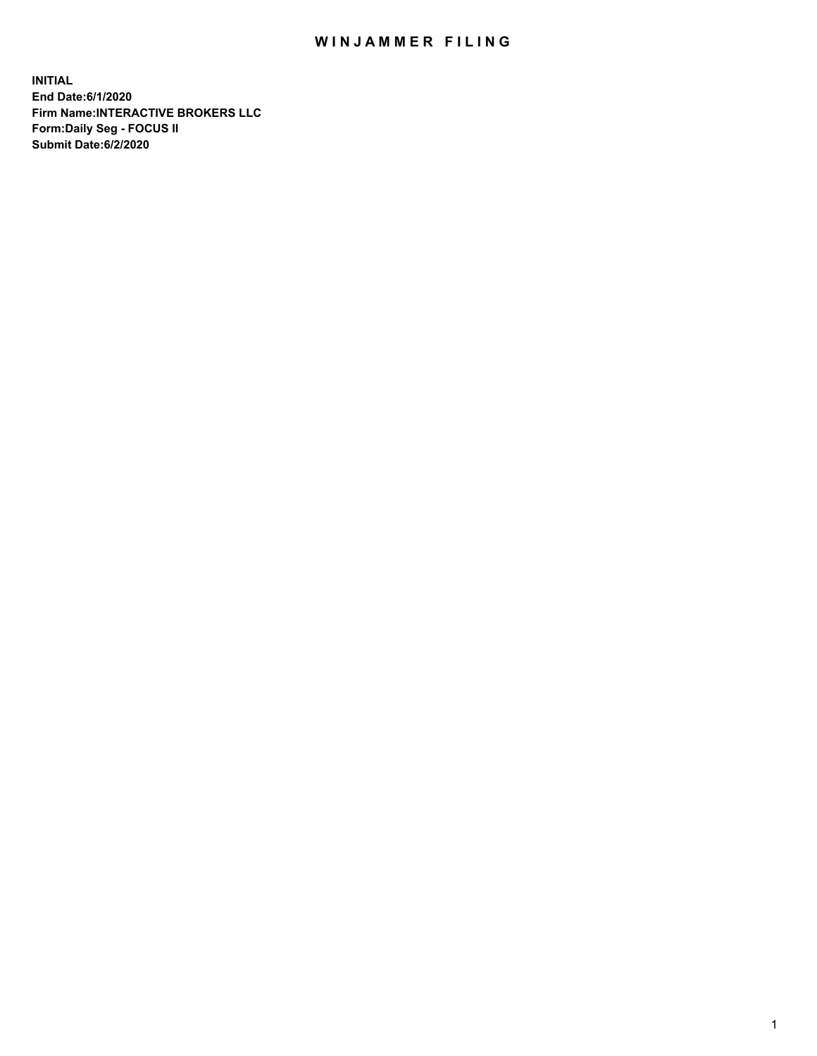## WIN JAMMER FILING

**INITIAL End Date:6/1/2020 Firm Name:INTERACTIVE BROKERS LLC Form:Daily Seg - FOCUS II Submit Date:6/2/2020**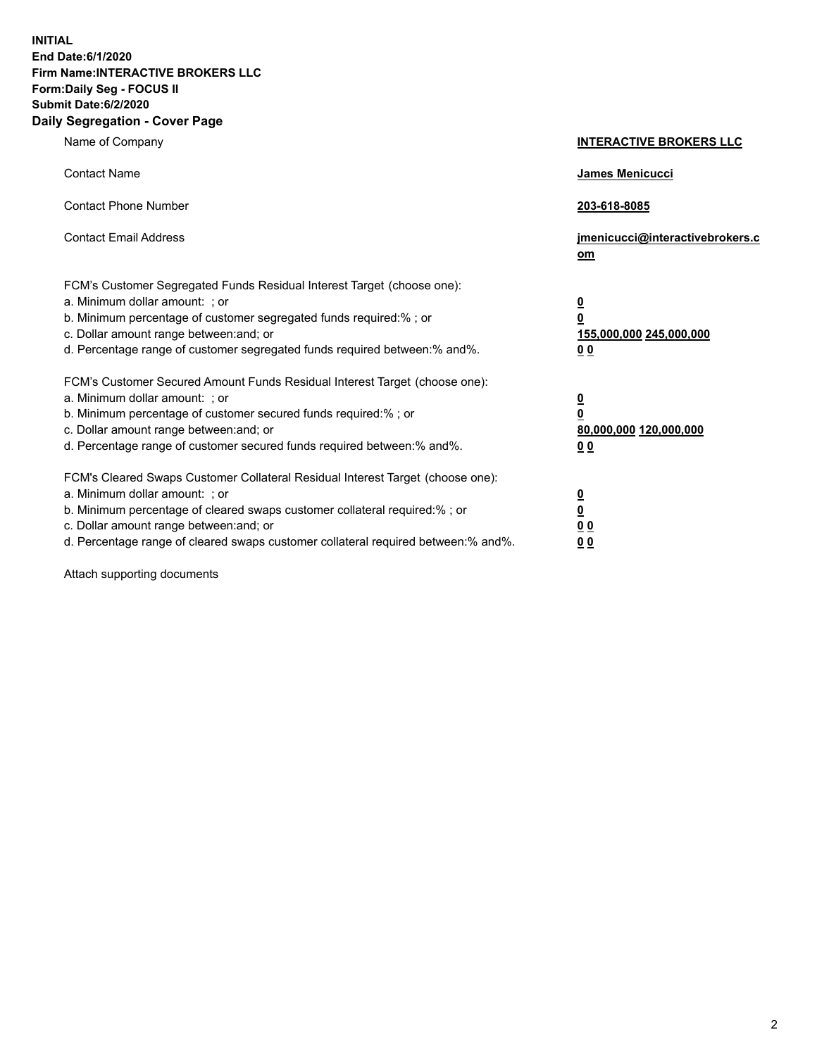**INITIAL End Date:6/1/2020 Firm Name:INTERACTIVE BROKERS LLC Form:Daily Seg - FOCUS II Submit Date:6/2/2020 Daily Segregation - Cover Page**

| Name of Company                                                                                                                                                                                                                                                                                                                | <b>INTERACTIVE BROKERS LLC</b>                                                                 |
|--------------------------------------------------------------------------------------------------------------------------------------------------------------------------------------------------------------------------------------------------------------------------------------------------------------------------------|------------------------------------------------------------------------------------------------|
| <b>Contact Name</b>                                                                                                                                                                                                                                                                                                            | James Menicucci                                                                                |
| <b>Contact Phone Number</b>                                                                                                                                                                                                                                                                                                    | 203-618-8085                                                                                   |
| <b>Contact Email Address</b>                                                                                                                                                                                                                                                                                                   | jmenicucci@interactivebrokers.c<br>om                                                          |
| FCM's Customer Segregated Funds Residual Interest Target (choose one):<br>a. Minimum dollar amount: ; or<br>b. Minimum percentage of customer segregated funds required:% ; or<br>c. Dollar amount range between: and; or<br>d. Percentage range of customer segregated funds required between: % and %.                       | $\overline{\mathbf{0}}$<br>$\overline{\mathbf{0}}$<br>155,000,000 245,000,000<br><u>00</u>     |
| FCM's Customer Secured Amount Funds Residual Interest Target (choose one):<br>a. Minimum dollar amount: ; or<br>b. Minimum percentage of customer secured funds required:%; or<br>c. Dollar amount range between: and; or<br>d. Percentage range of customer secured funds required between:% and%.                            | $\overline{\mathbf{0}}$<br>$\overline{\mathbf{0}}$<br>80,000,000 120,000,000<br>0 <sub>0</sub> |
| FCM's Cleared Swaps Customer Collateral Residual Interest Target (choose one):<br>a. Minimum dollar amount: ; or<br>b. Minimum percentage of cleared swaps customer collateral required:% ; or<br>c. Dollar amount range between: and; or<br>d. Percentage range of cleared swaps customer collateral required between:% and%. | $\frac{0}{0}$<br>$\underline{0}$ $\underline{0}$<br>0 <sub>0</sub>                             |

Attach supporting documents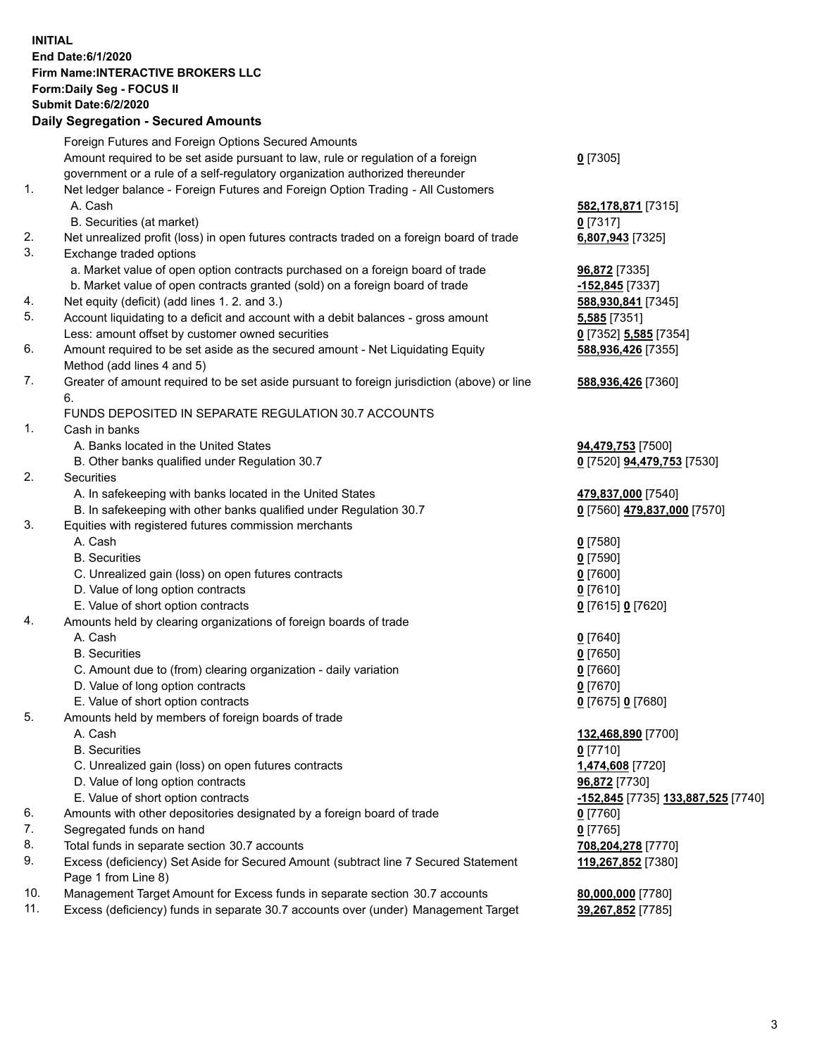## **INITIAL End Date:6/1/2020 Firm Name:INTERACTIVE BROKERS LLC Form:Daily Seg - FOCUS II Submit Date:6/2/2020 Daily Segregation - Secured Amounts**

|     | Foreign Futures and Foreign Options Secured Amounts                                         |                                                 |
|-----|---------------------------------------------------------------------------------------------|-------------------------------------------------|
|     | Amount required to be set aside pursuant to law, rule or regulation of a foreign            | $0$ [7305]                                      |
|     | government or a rule of a self-regulatory organization authorized thereunder                |                                                 |
| 1.  | Net ledger balance - Foreign Futures and Foreign Option Trading - All Customers             |                                                 |
|     | A. Cash                                                                                     | 582, 178, 871 [7315]                            |
|     | B. Securities (at market)                                                                   | $0$ [7317]                                      |
| 2.  | Net unrealized profit (loss) in open futures contracts traded on a foreign board of trade   | 6,807,943 [7325]                                |
| 3.  | Exchange traded options                                                                     |                                                 |
|     | a. Market value of open option contracts purchased on a foreign board of trade              | 96,872 [7335]                                   |
|     | b. Market value of open contracts granted (sold) on a foreign board of trade                | -152,845 [7337]                                 |
| 4.  | Net equity (deficit) (add lines 1. 2. and 3.)                                               | 588,930,841 [7345]                              |
| 5.  | Account liquidating to a deficit and account with a debit balances - gross amount           | 5,585 [7351]                                    |
|     | Less: amount offset by customer owned securities                                            | 0 [7352] 5,585 [7354]                           |
| 6.  | Amount required to be set aside as the secured amount - Net Liquidating Equity              | 588,936,426 [7355]                              |
|     | Method (add lines 4 and 5)                                                                  |                                                 |
| 7.  | Greater of amount required to be set aside pursuant to foreign jurisdiction (above) or line | 588,936,426 [7360]                              |
|     | 6.                                                                                          |                                                 |
|     | FUNDS DEPOSITED IN SEPARATE REGULATION 30.7 ACCOUNTS                                        |                                                 |
| 1.  | Cash in banks                                                                               |                                                 |
|     | A. Banks located in the United States                                                       | 94,479,753 [7500]                               |
|     | B. Other banks qualified under Regulation 30.7                                              | 0 [7520] 94,479,753 [7530]                      |
| 2.  | Securities                                                                                  |                                                 |
|     | A. In safekeeping with banks located in the United States                                   | 479,837,000 [7540]                              |
|     | B. In safekeeping with other banks qualified under Regulation 30.7                          | 0 [7560] 479,837,000 [7570]                     |
| 3.  | Equities with registered futures commission merchants                                       |                                                 |
|     | A. Cash                                                                                     | $0$ [7580]                                      |
|     | <b>B.</b> Securities                                                                        | $0$ [7590]                                      |
|     | C. Unrealized gain (loss) on open futures contracts                                         | $0$ [7600]                                      |
|     | D. Value of long option contracts                                                           | $0$ [7610]                                      |
|     | E. Value of short option contracts                                                          | 0 [7615] 0 [7620]                               |
| 4.  | Amounts held by clearing organizations of foreign boards of trade                           |                                                 |
|     | A. Cash                                                                                     | $Q$ [7640]                                      |
|     | <b>B.</b> Securities                                                                        | $0$ [7650]                                      |
|     | C. Amount due to (from) clearing organization - daily variation                             | $0$ [7660]                                      |
|     | D. Value of long option contracts                                                           | $0$ [7670]                                      |
|     | E. Value of short option contracts                                                          | 0 [7675] 0 [7680]                               |
| 5.  | Amounts held by members of foreign boards of trade                                          |                                                 |
|     | A. Cash                                                                                     | 132,468,890 [7700]                              |
|     | <b>B.</b> Securities                                                                        | $0$ [7710]                                      |
|     | C. Unrealized gain (loss) on open futures contracts                                         | 1,474,608 [7720]                                |
|     | D. Value of long option contracts                                                           | 96,872 [7730]                                   |
|     | E. Value of short option contracts                                                          | <mark>-152,845</mark> [7735] 133,887,525 [7740] |
| 6.  | Amounts with other depositories designated by a foreign board of trade                      | $0$ [7760]                                      |
| 7.  | Segregated funds on hand                                                                    | $0$ [7765]                                      |
| 8.  | Total funds in separate section 30.7 accounts                                               | 708,204,278 [7770]                              |
| 9.  | Excess (deficiency) Set Aside for Secured Amount (subtract line 7 Secured Statement         | 119,267,852 [7380]                              |
|     | Page 1 from Line 8)                                                                         |                                                 |
| 10. | Management Target Amount for Excess funds in separate section 30.7 accounts                 | 80,000,000 [7780]                               |
| 11. | Excess (deficiency) funds in separate 30.7 accounts over (under) Management Target          | 39,267,852 [7785]                               |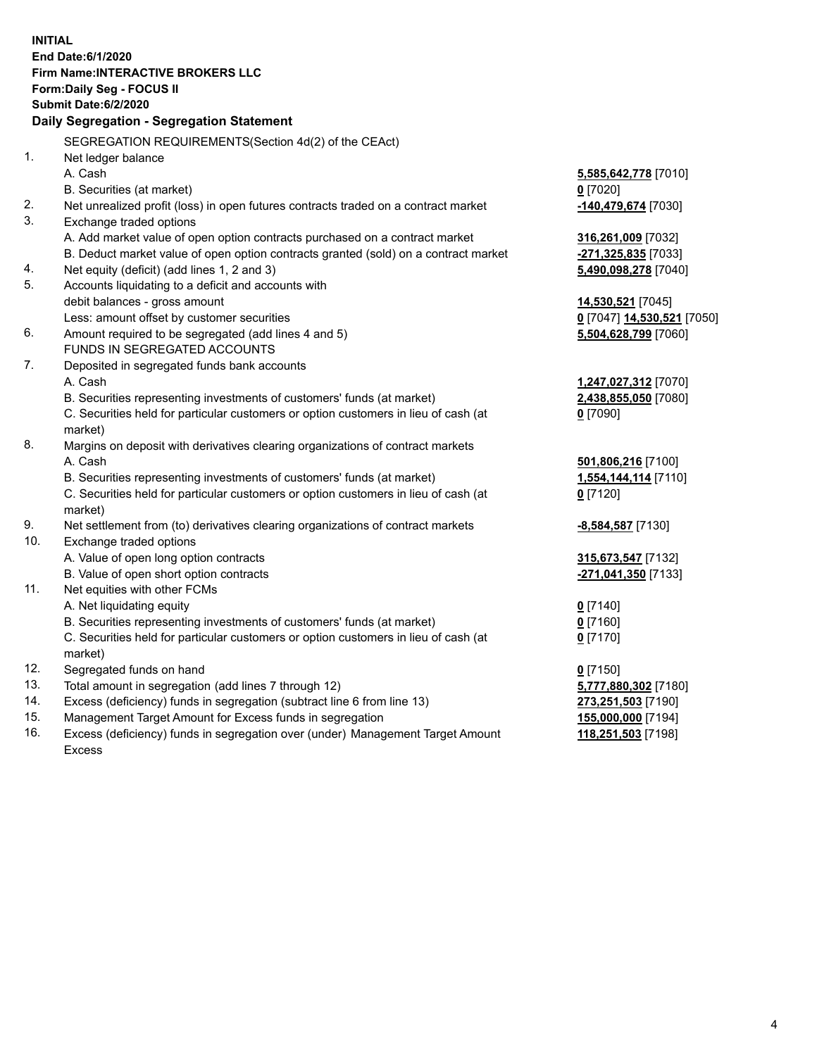**INITIAL End Date:6/1/2020 Firm Name:INTERACTIVE BROKERS LLC Form:Daily Seg - FOCUS II Submit Date:6/2/2020 Daily Segregation - Segregation Statement** SEGREGATION REQUIREMENTS(Section 4d(2) of the CEAct) 1. Net ledger balance A. Cash **5,585,642,778** [7010] B. Securities (at market) **0** [7020] 2. Net unrealized profit (loss) in open futures contracts traded on a contract market **-140,479,674** [7030] 3. Exchange traded options A. Add market value of open option contracts purchased on a contract market **316,261,009** [7032] B. Deduct market value of open option contracts granted (sold) on a contract market **-271,325,835** [7033] 4. Net equity (deficit) (add lines 1, 2 and 3) **5,490,098,278** [7040] 5. Accounts liquidating to a deficit and accounts with debit balances - gross amount **14,530,521** [7045] Less: amount offset by customer securities **0** [7047] **14,530,521** [7050] 6. Amount required to be segregated (add lines 4 and 5) **5,504,628,799** [7060] FUNDS IN SEGREGATED ACCOUNTS 7. Deposited in segregated funds bank accounts A. Cash **1,247,027,312** [7070] B. Securities representing investments of customers' funds (at market) **2,438,855,050** [7080] C. Securities held for particular customers or option customers in lieu of cash (at market) **0** [7090] 8. Margins on deposit with derivatives clearing organizations of contract markets A. Cash **501,806,216** [7100] B. Securities representing investments of customers' funds (at market) **1,554,144,114** [7110] C. Securities held for particular customers or option customers in lieu of cash (at market) **0** [7120] 9. Net settlement from (to) derivatives clearing organizations of contract markets **-8,584,587** [7130] 10. Exchange traded options A. Value of open long option contracts **315,673,547** [7132] B. Value of open short option contracts **-271,041,350** [7133] 11. Net equities with other FCMs A. Net liquidating equity **0** [7140] B. Securities representing investments of customers' funds (at market) **0** [7160] C. Securities held for particular customers or option customers in lieu of cash (at market) **0** [7170] 12. Segregated funds on hand **0** [7150] 13. Total amount in segregation (add lines 7 through 12) **5,777,880,302** [7180] 14. Excess (deficiency) funds in segregation (subtract line 6 from line 13) **273,251,503** [7190] 15. Management Target Amount for Excess funds in segregation **155,000,000** [7194] 16. Excess (deficiency) funds in segregation over (under) Management Target Amount **118,251,503** [7198]

Excess